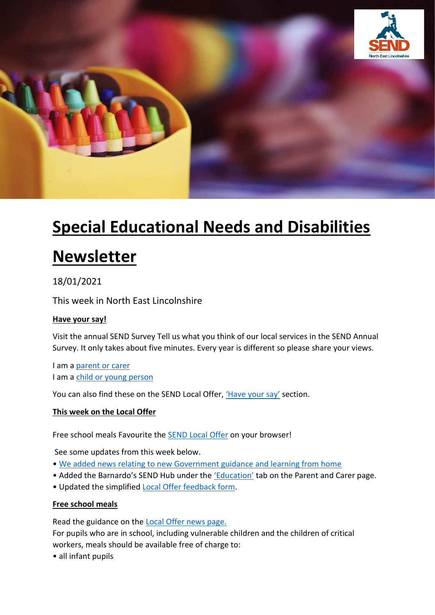

# **Special Educational Needs and Disabilities**

# **Newsletter**

# 18/01/2021

This week in North East Lincolnshire

# **Have your say!**

Visit the annual SEND Survey Tell us what you think of our local services in the SEND Annual Survey. It only takes about five minutes. Every year is different so please share your views.

I am a [parent or carer](https://send2021parent.questionpro.eu/) I am a [child or young person](https://send2021yp.questionpro.eu/)

You can also find these on the SEND Local Offer, ['Have your say'](https://sendlocaloffer.nelincs.gov.uk/home/have-your-say/) section.

#### **This week on the Local Offer**

Free school meals Favourite the **SEND Local Offer on your browser!** 

See some updates from this week below.

- [We added news relating to new Government guidance and learning from home](https://sendlocaloffer.nelincs.gov.uk/news/)
- Added the Barnardo's SEND Hub under the ['Education'](https://sendlocaloffer.nelincs.gov.uk/home/parents-and-carers/) tab on the Parent and Carer page.
- Updated the simplified [Local Offer feedback form.](https://sendlocaloffer.nelincs.gov.uk/home/have-your-say/)

#### **Free school meals**

Read the guidance on the [Local Offer news page.](https://sendlocaloffer.nelincs.gov.uk/free-school-meals-during-lockdown/)

For pupils who are in school, including vulnerable children and the children of critical workers, meals should be available free of charge to:

• all infant pupils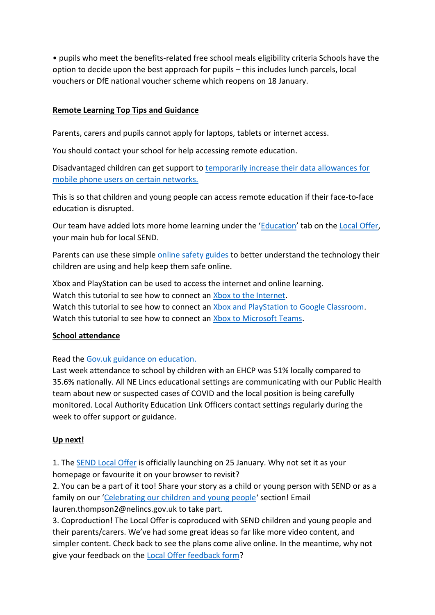• pupils who meet the benefits-related free school meals eligibility criteria Schools have the option to decide upon the best approach for pupils – this includes lunch parcels, local vouchers or DfE national voucher scheme which reopens on 18 January.

#### **Remote Learning Top Tips and Guidance**

Parents, carers and pupils cannot apply for laptops, tablets or internet access.

You should contact your school for help accessing remote education.

Disadvantaged children can get support to [temporarily increase their data allowances for](https://get-help-with-tech.education.gov.uk/about-increasing-mobile-data)  [mobile phone users on certain networks.](https://get-help-with-tech.education.gov.uk/about-increasing-mobile-data)

This is so that children and young people can access remote education if their face-to-face education is disrupted.

Our team have added lots more home learning under the '[Education](https://sendlocaloffer.nelincs.gov.uk/home/children-and-young-people/)' tab on the [Local Offer,](https://sendlocaloffer.nelincs.gov.uk/) your main hub for local SEND.

Parents can use these simple [online safety guides](https://nationalonlinesafety.com/guides) to better understand the technology their children are using and help keep them safe online.

Xbox and PlayStation can be used to access the internet and online learning. Watch this tutorial to see how to connect an [Xbox to the Internet.](https://www.youtube.com/watch?v=Z-0WAUAIJFQ) Watch this tutorial to see how to connect an [Xbox and PlayStation to Google Classroom.](https://www.youtube.com/watch?v=h6wKiz2KXoE) Watch this tutorial to see how to connect an [Xbox to Microsoft Teams.](https://www.youtube.com/watch?v=mfrSCeedsmEb)

# **School attendance**

Read the [Gov.uk guidance on education.](https://www.gov.uk/coronavirus/education-and-childcare)

Last week attendance to school by children with an EHCP was 51% locally compared to 35.6% nationally. All NE Lincs educational settings are communicating with our Public Health team about new or suspected cases of COVID and the local position is being carefully monitored. Local Authority Education Link Officers contact settings regularly during the week to offer support or guidance.

# **Up next!**

1. Th[e SEND Local Offer](https://sendlocaloffer.nelincs.gov.uk/) is officially launching on 25 January. Why not set it as your homepage or favourite it on your browser to revisit?

2. You can be a part of it too! Share your story as a child or young person with SEND or as a family on our '[Celebrating our children and young people](https://sendlocaloffer.nelincs.gov.uk/home/celebrating-our-children-and-young-people/)' section! Email lauren.thompson2@nelincs.gov.uk to take part.

3. Coproduction! The Local Offer is coproduced with SEND children and young people and their parents/carers. We've had some great ideas so far like more video content, and simpler content. Check back to see the plans come alive online. In the meantime, why not give your feedback on the [Local Offer feedback form?](https://sendlocaloffer.nelincs.gov.uk/home/have-your-say/)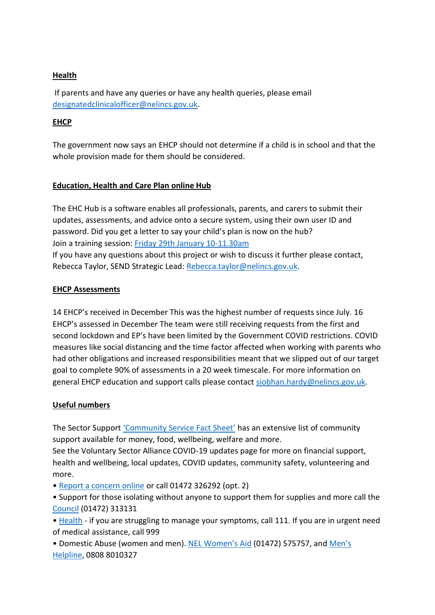# **Health**

If parents and have any queries or have any health queries, please email [designatedclinicalofficer@nelincs.gov.uk.](mailto:designatedclinicalofficer@nelincs.gov.uk)

# **EHCP**

The government now says an EHCP should not determine if a child is in school and that the whole provision made for them should be considered.

# **Education, Health and Care Plan online Hub**

The EHC Hub is a software enables all professionals, parents, and carers to submit their updates, assessments, and advice onto a secure system, using their own user ID and password. Did you get a letter to say your child's plan is now on the hub? Join a training session: [Friday 29th January 10-11.30am](https://www.eventbrite.co.uk/e/ehcp-hub-annual-review-training-registration-131179983863) If you have any questions about this project or wish to discuss it further please contact, Rebecca Taylor, SEND Strategic Lead: [Rebecca.taylor@nelincs.gov.uk.](mailto:Rebecca.taylor@nelincs.gov.uk)

# **EHCP Assessments**

14 EHCP's received in December This was the highest number of requests since July. 16 EHCP's assessed in December The team were still receiving requests from the first and second lockdown and EP's have been limited by the Government COVID restrictions. COVID measures like social distancing and the time factor affected when working with parents who had other obligations and increased responsibilities meant that we slipped out of our target goal to complete 90% of assessments in a 20 week timescale. For more information on general EHCP education and support calls please contact [siobhan.hardy@nelincs.gov.uk.](mailto:siobhan.hardy@nelincs.gov.uk)

# **Useful numbers**

The Sector Support ['Community Service Fact Sheet'](https://www.sectorsupportnel.org.uk/wp-content/uploads/2021/01/NEW-13.01.2021-Community-Signposting-Factsheet.pdf) has an extensive list of community support available for money, food, wellbeing, welfare and more.

See the Voluntary Sector Alliance COVID-19 updates page for more on financial support, health and wellbeing, local updates, COVID updates, community safety, volunteering and more.

• [Report a concern online](https://sendlocaloffer.nelincs.gov.uk/home/safeguarding-report-a-concern/) or call 01472 326292 (opt. 2)

• Support for those isolating without anyone to support them for supplies and more call the [Council](https://www.nelincs.gov.uk/) (01472) 313131

• [Health](https://www.nhs.uk/) - if you are struggling to manage your symptoms, call 111. If you are in urgent need of medical assistance, call 999

• Domestic Abuse (women and men). [NEL Women's Aid](https://www.womensaidnel.org/) (01472) 575757, and [Men's](https://mensadviceline.org.uk/contact-us/#:~:text=Call,free%20from%20BT%20pay%20phones.)  [Helpline,](https://mensadviceline.org.uk/contact-us/#:~:text=Call,free%20from%20BT%20pay%20phones.) 0808 8010327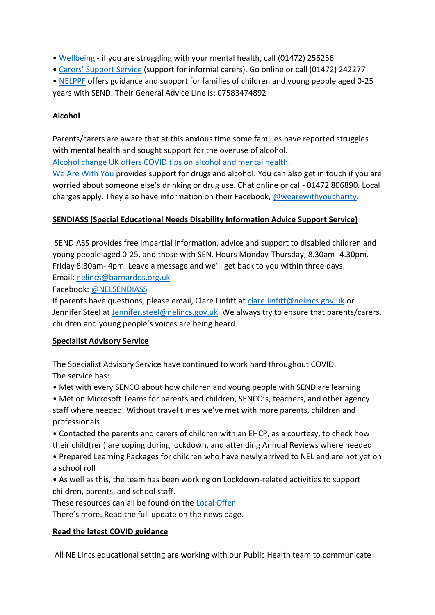- [Wellbeing](https://navigocare.co.uk/) if you are struggling with your mental health, call (01472) 256256
- • [Carers' Support Service](https://www.carerssupportcentre.com/nel/) (support for informal carers). Go online or call (01472) 242277
- [NELPPF](https://www.facebook.com/NorthEastLincsParentParticipationForum/) offers guidance and support for families of children and young people aged 0-25 years with SEND. Their General Advice Line is: 07583474892

# **Alcohol**

Parents/carers are aware that at this anxious time some families have reported struggles with mental health and sought support for the overuse of alcohol.

[Alcohol change UK offers COVID tips on alcohol and mental health.](https://alcoholchange.org.uk/blog/2020/coronavirus-top-tips-on-alcohol-and-mental-health)

[We Are With You](https://www.wearewithyou.org.uk/services/north-east-lincolnshire/) provides support for drugs and alcohol. You can also get in touch if you are worried about someone else's drinking or drug use. Chat online or call- 01472 806890. Local charges apply. They also have information on their Facebook, [@wearewithyoucharity.](https://www.facebook.com/WeAreWithYouNorthEastLincs/)

# **SENDIASS (Special Educational Needs Disability Information Advice Support Service)**

SENDIASS provides free impartial information, advice and support to disabled children and young people aged 0-25, and those with SEN. Hours Monday-Thursday, 8.30am- 4.30pm. Friday 8:30am- 4pm. Leave a message and we'll get back to you within three days. Email: [nelincs@barnardos.org.uk](mailto:nelincs@barnardos.org.uk)

Facebook[: @NELSENDIASS](https://www.facebook.com/NELSENDIASS)

If parents have questions, please email, Clare Linfitt at [clare.linfitt@nelincs.gov.uk](mailto:clare.linfitt@nelincs.gov.uk) or Jennifer Steel at [Jennifer.steel@nelincs.gov.uk.](mailto:Jennifer.steel@nelincs.gov.uk) We always try to ensure that parents/carers, children and young people's voices are being heard.

# **Specialist Advisory Service**

The Specialist Advisory Service have continued to work hard throughout COVID. The service has:

- Met with every SENCO about how children and young people with SEND are learning
- Met on Microsoft Teams for parents and children, SENCO's, teachers, and other agency staff where needed. Without travel times we've met with more parents, children and professionals
- Contacted the parents and carers of children with an EHCP, as a courtesy, to check how their child(ren) are coping during lockdown, and attending Annual Reviews where needed
- Prepared Learning Packages for children who have newly arrived to NEL and are not yet on a school roll
- As well as this, the team has been working on Lockdown-related activities to support children, parents, and school staff.

These resources can all be found on the [Local Offer](https://sendlocaloffer.nelincs.gov.uk/)

There's more. Read the full update on the news page.

# **Read the latest COVID guidance**

All NE Lincs educational setting are working with our Public Health team to communicate